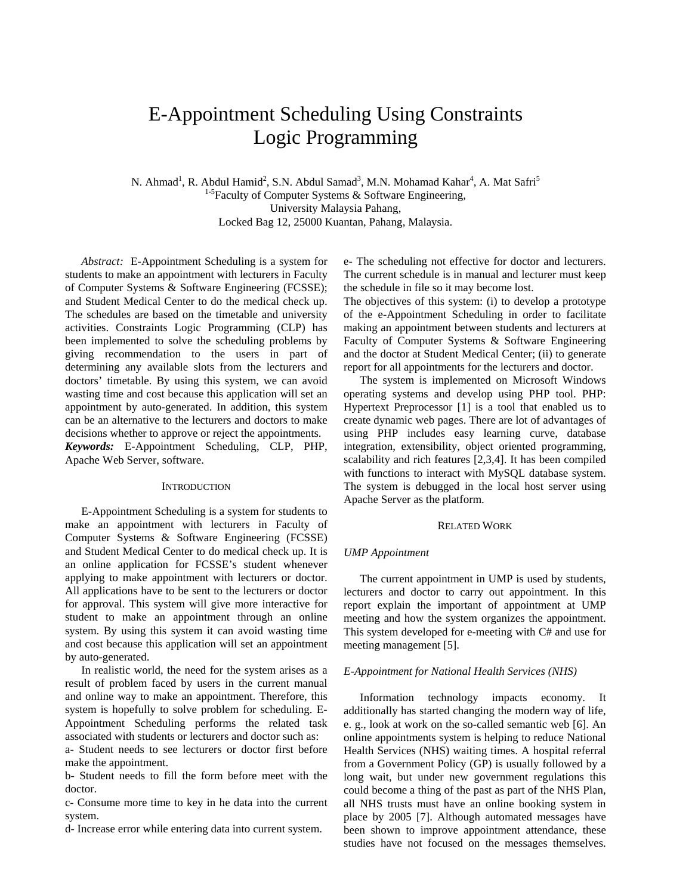# E-Appointment Scheduling Using Constraints Logic Programming

N. Ahmad<sup>1</sup>, R. Abdul Hamid<sup>2</sup>, S.N. Abdul Samad<sup>3</sup>, M.N. Mohamad Kahar<sup>4</sup>, A. Mat Safri<sup>5</sup>  $1-5$ Faculty of Computer Systems & Software Engineering, University Malaysia Pahang, Locked Bag 12, 25000 Kuantan, Pahang, Malaysia.

*Abstract:* E-Appointment Scheduling is a system for students to make an appointment with lecturers in Faculty of Computer Systems & Software Engineering (FCSSE); and Student Medical Center to do the medical check up. The schedules are based on the timetable and university activities. Constraints Logic Programming (CLP) has been implemented to solve the scheduling problems by giving recommendation to the users in part of determining any available slots from the lecturers and doctors' timetable. By using this system, we can avoid wasting time and cost because this application will set an appointment by auto-generated. In addition, this system can be an alternative to the lecturers and doctors to make decisions whether to approve or reject the appointments. *Keywords:* E-Appointment Scheduling, CLP, PHP,

Apache Web Server, software.

# **INTRODUCTION**

E-Appointment Scheduling is a system for students to make an appointment with lecturers in Faculty of Computer Systems & Software Engineering (FCSSE) and Student Medical Center to do medical check up. It is an online application for FCSSE's student whenever applying to make appointment with lecturers or doctor. All applications have to be sent to the lecturers or doctor for approval. This system will give more interactive for student to make an appointment through an online system. By using this system it can avoid wasting time and cost because this application will set an appointment by auto-generated.

In realistic world, the need for the system arises as a result of problem faced by users in the current manual and online way to make an appointment. Therefore, this system is hopefully to solve problem for scheduling. E-Appointment Scheduling performs the related task associated with students or lecturers and doctor such as:

a- Student needs to see lecturers or doctor first before make the appointment.

b- Student needs to fill the form before meet with the doctor.

c- Consume more time to key in he data into the current system.

d- Increase error while entering data into current system.

e- The scheduling not effective for doctor and lecturers. The current schedule is in manual and lecturer must keep the schedule in file so it may become lost.

The objectives of this system: (i) to develop a prototype of the e-Appointment Scheduling in order to facilitate making an appointment between students and lecturers at Faculty of Computer Systems & Software Engineering and the doctor at Student Medical Center; (ii) to generate report for all appointments for the lecturers and doctor.

The system is implemented on Microsoft Windows operating systems and develop using PHP tool. PHP: Hypertext Preprocessor [1] is a tool that enabled us to create dynamic web pages. There are lot of advantages of using PHP includes easy learning curve, database integration, extensibility, object oriented programming, scalability and rich features [2,3,4]. It has been compiled with functions to interact with MySQL database system. The system is debugged in the local host server using Apache Server as the platform.

#### RELATED WORK

## *UMP Appointment*

The current appointment in UMP is used by students, lecturers and doctor to carry out appointment. In this report explain the important of appointment at UMP meeting and how the system organizes the appointment. This system developed for e-meeting with C# and use for meeting management [5].

## *E-Appointment for National Health Services (NHS)*

Information technology impacts economy. It additionally has started changing the modern way of life, e. g., look at work on the so-called semantic web [6]. An online appointments system is helping to reduce National Health Services (NHS) waiting times. A hospital referral from a Government Policy (GP) is usually followed by a long wait, but under new government regulations this could become a thing of the past as part of the NHS Plan, all NHS trusts must have an online booking system in place by 2005 [7]. Although automated messages have been shown to improve appointment attendance, these studies have not focused on the messages themselves.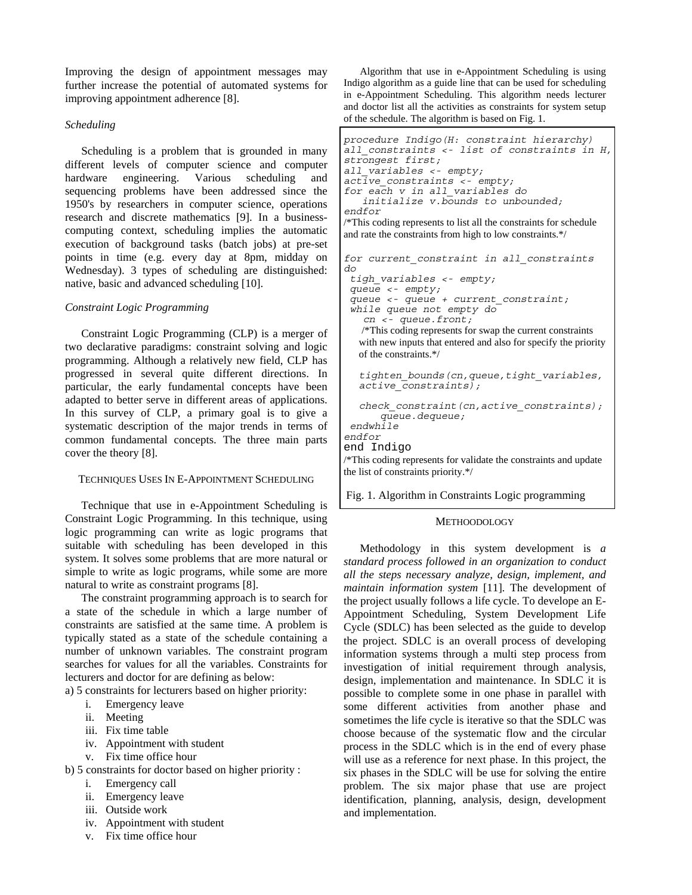Improving the design of appointment messages may further increase the potential of automated systems for improving appointment adherence [8].

# *Scheduling*

Scheduling is a problem that is grounded in many different levels of computer science and computer hardware engineering. Various scheduling and sequencing problems have been addressed since the 1950's by researchers in computer science, operations research and discrete mathematics [9]. In a businesscomputing context, scheduling implies the automatic execution of background tasks (batch jobs) at pre-set points in time (e.g. every day at 8pm, midday on Wednesday). 3 types of scheduling are distinguished: native, basic and advanced scheduling [10].

# *Constraint Logic Programming*

Constraint Logic Programming (CLP) is a merger of two declarative paradigms: constraint solving and logic programming. Although a relatively new field, CLP has progressed in several quite different directions. In particular, the early fundamental concepts have been adapted to better serve in different areas of applications. In this survey of CLP, a primary goal is to give a systematic description of the major trends in terms of common fundamental concepts. The three main parts cover the theory [8].

#### TECHNIQUES USES IN E-APPOINTMENT SCHEDULING

Technique that use in e-Appointment Scheduling is Constraint Logic Programming. In this technique, using logic programming can write as logic programs that suitable with scheduling has been developed in this system. It solves some problems that are more natural or simple to write as logic programs, while some are more natural to write as constraint programs [8].

The constraint programming approach is to search for a state of the schedule in which a large number of constraints are satisfied at the same time. A problem is typically stated as a state of the schedule containing a number of unknown variables. The constraint program searches for values for all the variables. Constraints for lecturers and doctor for are defining as below:

a) 5 constraints for lecturers based on higher priority:

- i. Emergency leave
- ii. Meeting
- iii. Fix time table
- iv. Appointment with student
- v. Fix time office hour

b) 5 constraints for doctor based on higher priority :

- i. Emergency call
- ii. Emergency leave
- iii. Outside work
- iv. Appointment with student
- v. Fix time office hour

Algorithm that use in e-Appointment Scheduling is using Indigo algorithm as a guide line that can be used for scheduling in e-Appointment Scheduling. This algorithm needs lecturer and doctor list all the activities as constraints for system setup of the schedule. The algorithm is based on Fig. 1.

 *procedure Indigo(H: constraint hierarchy) all\_constraints <- list of constraints in H, strongest first; all\_variables <- empty; active\_constraints <- empty; for each v in all\_variables do initialize v.bounds to unbounded; endfor*  /\*This coding represents to list all the constraints for schedule and rate the constraints from high to low constraints.\*/ *for current\_constraint in all\_constraints do tigh\_variables <- empty; queue <- empty; queue <- queue + current\_constraint; while queue not empty do cn <- queue.front;*  /\*This coding represents for swap the current constraints with new inputs that entered and also for specify the priority of the constraints.\*/  $\mathsf{L}$ *tighten\_bounds(cn,queue,tight\_variables, active\_constraints);*   $\mathsf{I}$ *check\_constraint(cn,active\_constraints); queue.dequeue; endwhile endfor* 

end Indigo

/\*This coding represents for validate the constraints and update the list of constraints priority.\*/

Fig. 1. Algorithm in Constraints Logic programming

## **METHOODOLOGY**

Methodology in this system development is *a standard process followed in an organization to conduct all the steps necessary analyze, design, implement, and maintain information system* [11]. The development of the project usually follows a life cycle. To develope an E-Appointment Scheduling, System Development Life Cycle (SDLC) has been selected as the guide to develop the project. SDLC is an overall process of developing information systems through a multi step process from investigation of initial requirement through analysis, design, implementation and maintenance. In SDLC it is possible to complete some in one phase in parallel with some different activities from another phase and sometimes the life cycle is iterative so that the SDLC was choose because of the systematic flow and the circular process in the SDLC which is in the end of every phase will use as a reference for next phase. In this project, the six phases in the SDLC will be use for solving the entire problem. The six major phase that use are project identification, planning, analysis, design, development and implementation.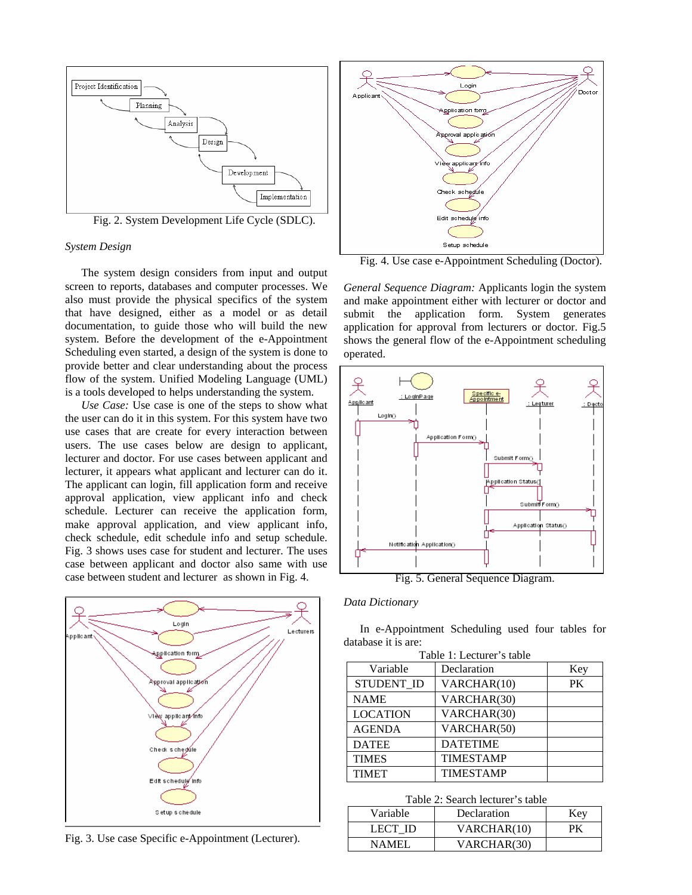

#### *System Design*

The system design considers from input and output screen to reports, databases and computer processes. We also must provide the physical specifics of the system that have designed, either as a model or as detail documentation, to guide those who will build the new system. Before the development of the e-Appointment Scheduling even started, a design of the system is done to provide better and clear understanding about the process flow of the system. Unified Modeling Language (UML) is a tools developed to helps understanding the system.

*Use Case:* Use case is one of the steps to show what the user can do it in this system. For this system have two use cases that are create for every interaction between users. The use cases below are design to applicant, lecturer and doctor. For use cases between applicant and lecturer, it appears what applicant and lecturer can do it. The applicant can login, fill application form and receive approval application, view applicant info and check schedule. Lecturer can receive the application form, make approval application, and view applicant info, check schedule, edit schedule info and setup schedule. Fig. 3 shows uses case for student and lecturer. The uses case between applicant and doctor also same with use case between student and lecturer as shown in Fig. 4.



Fig. 3. Use case Specific e-Appointment (Lecturer).



Fig. 4. Use case e-Appointment Scheduling (Doctor).

*General Sequence Diagram:* Applicants login the system and make appointment either with lecturer or doctor and submit the application form. System generates application for approval from lecturers or doctor. Fig.5 shows the general flow of the e-Appointment scheduling operated.



Fig. 5. General Sequence Diagram.

## *Data Dictionary*

In e-Appointment Scheduling used four tables for database it is are:

| Table 1: Lecturer's table |                  |     |  |  |  |  |
|---------------------------|------------------|-----|--|--|--|--|
| Variable                  | Declaration      | Key |  |  |  |  |
| STUDENT ID                | VARCHAR(10)      | PК  |  |  |  |  |
| <b>NAME</b>               | VARCHAR(30)      |     |  |  |  |  |
| <b>LOCATION</b>           | VARCHAR(30)      |     |  |  |  |  |
| <b>AGENDA</b>             | VARCHAR(50)      |     |  |  |  |  |
| <b>DATEE</b>              | <b>DATETIME</b>  |     |  |  |  |  |
| <b>TIMES</b>              | <b>TIMESTAMP</b> |     |  |  |  |  |
| <b>TIMET</b>              | <b>TIMESTAMP</b> |     |  |  |  |  |

#### Table 2: Search lecturer's table

| Tuble 2. Bearen Retailer & table<br>Variable<br>Declaration<br>Key |             |    |  |  |  |  |
|--------------------------------------------------------------------|-------------|----|--|--|--|--|
| LECT ID                                                            | VARCHAR(10) | РK |  |  |  |  |
| NAMEL                                                              | VARCHAR(30) |    |  |  |  |  |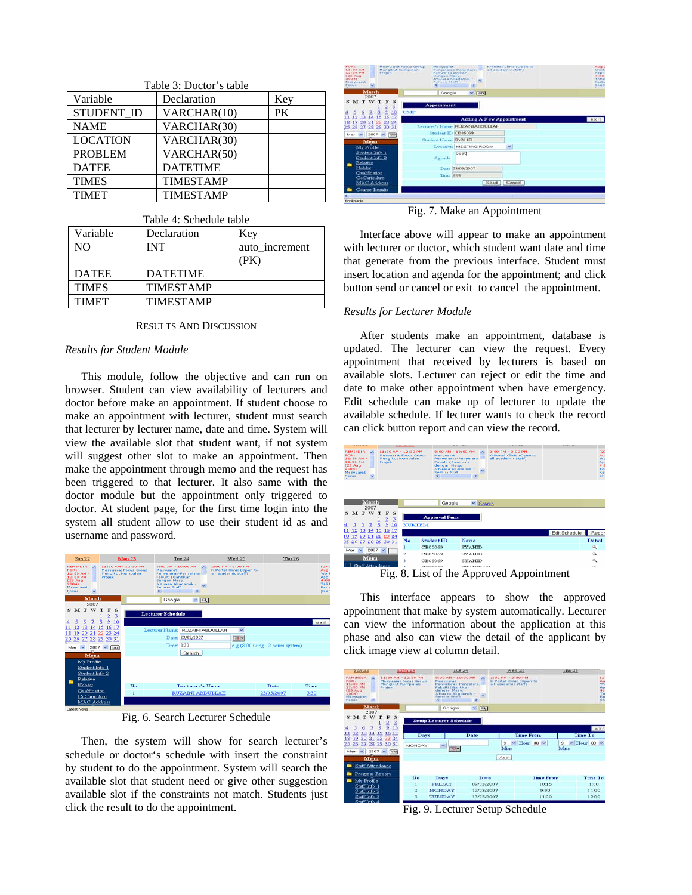| Table 3: Doctor's table |                  |     |  |  |  |  |
|-------------------------|------------------|-----|--|--|--|--|
| Variable                | Declaration      | Key |  |  |  |  |
| STUDENT_ID              | VARCHAR(10)      | PK  |  |  |  |  |
| <b>NAME</b>             | VARCHAR(30)      |     |  |  |  |  |
| <b>LOCATION</b>         | VARCHAR(30)      |     |  |  |  |  |
| <b>PROBLEM</b>          | VARCHAR(50)      |     |  |  |  |  |
| <b>DATEE</b>            | <b>DATETIME</b>  |     |  |  |  |  |
| <b>TIMES</b>            | <b>TIMESTAMP</b> |     |  |  |  |  |
| <b>TIMET</b>            | <b>TIMESTAMP</b> |     |  |  |  |  |

| Table 4: Schedule table |                  |                |  |  |  |  |
|-------------------------|------------------|----------------|--|--|--|--|
| Variable                | Declaration      | Kev            |  |  |  |  |
| NO.                     | <b>INT</b>       | auto_increment |  |  |  |  |
|                         |                  | (EK)           |  |  |  |  |
| <b>DATEE</b>            | <b>DATETIME</b>  |                |  |  |  |  |
| <b>TIMES</b>            | <b>TIMESTAMP</b> |                |  |  |  |  |
| <b>TIMET</b>            | <b>TIMESTAMP</b> |                |  |  |  |  |

## RESULTS AND DISCUSSION

#### *Results for Student Module*

This module, follow the objective and can run on browser. Student can view availability of lecturers and doctor before make an appointment. If student choose to make an appointment with lecturer, student must search that lecturer by lecturer name, date and time. System will view the available slot that student want, if not system will suggest other slot to make an appointment. Then make the appointment through memo and the request has been triggered to that lecturer. It also same with the doctor module but the appointment only triggered to doctor. At student page, for the first time login into the system all student allow to use their student id as and username and password.

| Sum 22                                                                                                                                 |                                                                                          | Mon 23                         |                                                                                                                                    | Tue 24                  | Wed 25                                                               | Thu 26                           |                                                                   |
|----------------------------------------------------------------------------------------------------------------------------------------|------------------------------------------------------------------------------------------|--------------------------------|------------------------------------------------------------------------------------------------------------------------------------|-------------------------|----------------------------------------------------------------------|----------------------------------|-------------------------------------------------------------------|
| <b>REMINDER</b><br>$\overline{\phantom{a}}$<br><b>FOR:</b><br>11:30 AM -<br>12:00 PM<br>$(23 \text{ A})$<br>2004<br>Mezyuarat<br>Focus | 11:30 AM - 12:30 PM<br><b>Messuarat Focus Group</b><br>Mengikut Kumpulan<br>Projek.<br>e |                                | 0:00 AM - 10:00 AM<br>Mesvuarat<br>Penvelaras-Penvelara:<br>Fakulti (Gantikan<br>dengan Mess.<br>J/Kuasa Akademik -<br>Samua Staft | >                       | 2:00 PM - 3:00 PM<br>K-Portal Clinic (Open to<br>all academic staff) |                                  | (27.8)<br>Aug.:<br>Wark<br>Appli<br>4100<br>TARI<br>Kerts<br>Sken |
| March<br>2007                                                                                                                          |                                                                                          |                                | Google                                                                                                                             | $  \cdot   \cdot  $     |                                                                      |                                  |                                                                   |
| SMTW                                                                                                                                   | s<br>3<br>2<br>9<br>8<br>10                                                              |                                | <b>Lecturer Schedule</b>                                                                                                           |                         |                                                                      |                                  |                                                                   |
| 13<br>14                                                                                                                               | 17<br>15<br>16                                                                           |                                | Lecturer Name:                                                                                                                     | RUZAINI ABDULLAH        | v                                                                    |                                  | exit                                                              |
| 19<br>21<br>18<br>20<br>25<br>26<br>28<br>27                                                                                           | 22 23<br>24<br>30 31<br>29                                                               |                                |                                                                                                                                    | Date: 23/03/2007        | $\Box$                                                               |                                  |                                                                   |
| Mar                                                                                                                                    | $2007 - \circ$ 00                                                                        |                                | Time: 3:30                                                                                                                         |                         |                                                                      | e.g (8:00 using 12 hours system) |                                                                   |
| Menu                                                                                                                                   |                                                                                          |                                |                                                                                                                                    | Search                  |                                                                      |                                  |                                                                   |
| My Profile<br>Student Info 1<br>Student Info 2<br>Relative                                                                             |                                                                                          |                                |                                                                                                                                    |                         |                                                                      |                                  |                                                                   |
| Hobby<br>Qualification                                                                                                                 |                                                                                          | No                             |                                                                                                                                    | <b>Lecturers's Name</b> |                                                                      | Date                             | Time                                                              |
| CoCuriculum                                                                                                                            |                                                                                          | RUZAINI ABDULLAH<br>23/03/2007 |                                                                                                                                    |                         |                                                                      |                                  | 3:30                                                              |
| MAC Address<br>Lahnet Nausc                                                                                                            |                                                                                          |                                |                                                                                                                                    |                         |                                                                      |                                  |                                                                   |

Fig. 6. Search Lecturer Schedule

Then, the system will show for search lecturer's schedule or doctor's schedule with insert the constraint by student to do the appointment. System will search the available slot that student need or give other suggestion available slot if the constraints not match. Students just click the result to do the appointment.



Fig. 7. Make an Appointment

Interface above will appear to make an appointment with lecturer or doctor, which student want date and time that generate from the previous interface. Student must insert location and agenda for the appointment; and click button send or cancel or exit to cancel the appointment.

#### *Results for Lecturer Module*

After students make an appointment, database is updated. The lecturer can view the request. Every appointment that received by lecturers is based on available slots. Lecturer can reject or edit the time and date to make other appointment when have emergency. Edit schedule can make up of lecturer to update the available schedule. If lecturer wants to check the record can click button report and can view the record.



Fig. 8. List of the Approved Appointment

This interface appears to show the approved appointment that make by system automatically. Lecturer can view the information about the application at this phase and also can view the detail of the applicant by click image view at column detail.



Fig. 9. Lecturer Setup Schedule